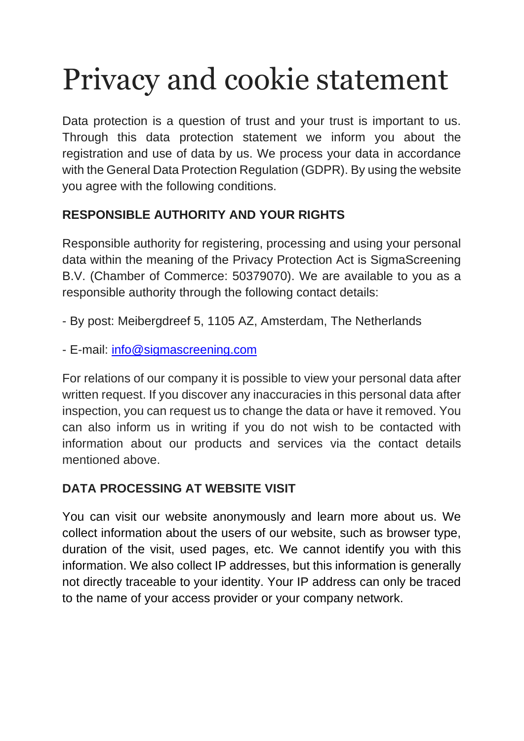# Privacy and cookie statement

Data protection is a question of trust and your trust is important to us. Through this data protection statement we inform you about the registration and use of data by us. We process your data in accordance with the General Data Protection Regulation (GDPR). By using the website you agree with the following conditions.

## **RESPONSIBLE AUTHORITY AND YOUR RIGHTS**

Responsible authority for registering, processing and using your personal data within the meaning of the Privacy Protection Act is SigmaScreening B.V. (Chamber of Commerce: 50379070). We are available to you as a responsible authority through the following contact details:

- By post: Meibergdreef 5, 1105 AZ, Amsterdam, The Netherlands
- E-mail: [info@sigmascreening.com](mailto:info@sigmascreening.com)

For relations of our company it is possible to view your personal data after written request. If you discover any inaccuracies in this personal data after inspection, you can request us to change the data or have it removed. You can also inform us in writing if you do not wish to be contacted with information about our products and services via the contact details mentioned above.

### **DATA PROCESSING AT WEBSITE VISIT**

You can visit our website anonymously and learn more about us. We collect information about the users of our website, such as browser type, duration of the visit, used pages, etc. We cannot identify you with this information. We also collect IP addresses, but this information is generally not directly traceable to your identity. Your IP address can only be traced to the name of your access provider or your company network.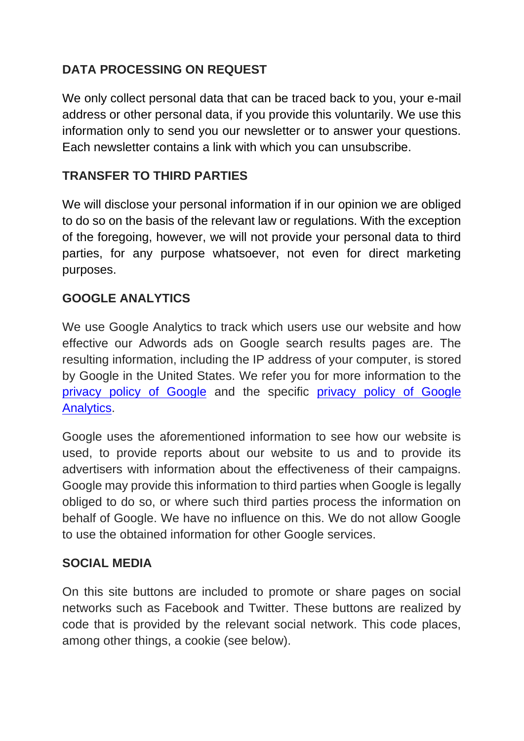## **DATA PROCESSING ON REQUEST**

We only collect personal data that can be traced back to you, your e-mail address or other personal data, if you provide this voluntarily. We use this information only to send you our newsletter or to answer your questions. Each newsletter contains a link with which you can unsubscribe.

## **TRANSFER TO THIRD PARTIES**

We will disclose your personal information if in our opinion we are obliged to do so on the basis of the relevant law or regulations. With the exception of the foregoing, however, we will not provide your personal data to third parties, for any purpose whatsoever, not even for direct marketing purposes.

#### **GOOGLE ANALYTICS**

We use Google Analytics to track which users use our website and how effective our Adwords ads on Google search results pages are. The resulting information, including the IP address of your computer, is stored by Google in the United States. We refer you for more information to the [privacy policy of Google](https://www.google.com/intl/en/policies/privacy/) and the specific [privacy policy of Google](https://support.google.com/analytics/answer/6004245?hl=en)  [Analytics.](https://support.google.com/analytics/answer/6004245?hl=en)

Google uses the aforementioned information to see how our website is used, to provide reports about our website to us and to provide its advertisers with information about the effectiveness of their campaigns. Google may provide this information to third parties when Google is legally obliged to do so, or where such third parties process the information on behalf of Google. We have no influence on this. We do not allow Google to use the obtained information for other Google services.

#### **SOCIAL MEDIA**

On this site buttons are included to promote or share pages on social networks such as Facebook and Twitter. These buttons are realized by code that is provided by the relevant social network. This code places, among other things, a cookie (see below).